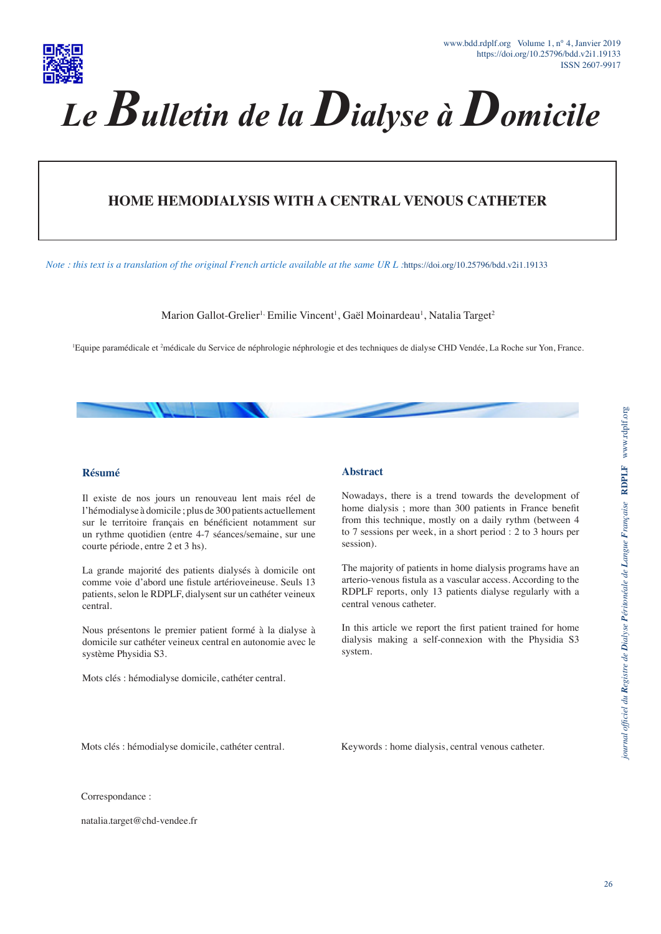

# **HOME HEMODIALYSIS WITH A CENTRAL VENOUS CATHETER**

*Note : this text is a translation of the original French article available at the same UR L :*https://doi.org/10.25796/bdd.v2i1.19133

Marion Gallot-Grelier<sup>1,</sup> Emilie Vincent<sup>1</sup>, Gaël Moinardeau<sup>1</sup>, Natalia Target<sup>2</sup>

1 Equipe paramédicale et 2 médicale du Service de néphrologie néphrologie et des techniques de dialyse CHD Vendée, La Roche sur Yon, France.

#### **Résumé**

Il existe de nos jours un renouveau lent mais réel de l'hémodialyse à domicile ; plus de 300 patients actuellement sur le territoire français en bénéficient notamment sur un rythme quotidien (entre 4-7 séances/semaine, sur une courte période, entre 2 et 3 hs).

La grande majorité des patients dialysés à domicile ont comme voie d'abord une fistule artérioveineuse. Seuls 13 patients, selon le RDPLF, dialysent sur un cathéter veineux central.

Nous présentons le premier patient formé à la dialyse à domicile sur cathéter veineux central en autonomie avec le système Physidia S3.

Mots clés : hémodialyse domicile, cathéter central.

#### **Abstract**

Nowadays, there is a trend towards the development of home dialysis ; more than 300 patients in France benefit from this technique, mostly on a daily rythm (between 4 to 7 sessions per week, in a short period : 2 to 3 hours per session).

The majority of patients in home dialysis programs have an arterio-venous fistula as a vascular access. According to the RDPLF reports, only 13 patients dialyse regularly with a central venous catheter.

In this article we report the first patient trained for home dialysis making a self-connexion with the Physidia S3 system.

Mots clés : hémodialyse domicile, cathéter central.

Keywords : home dialysis, central venous catheter.

Correspondance :

natalia.target@chd-vendee.fr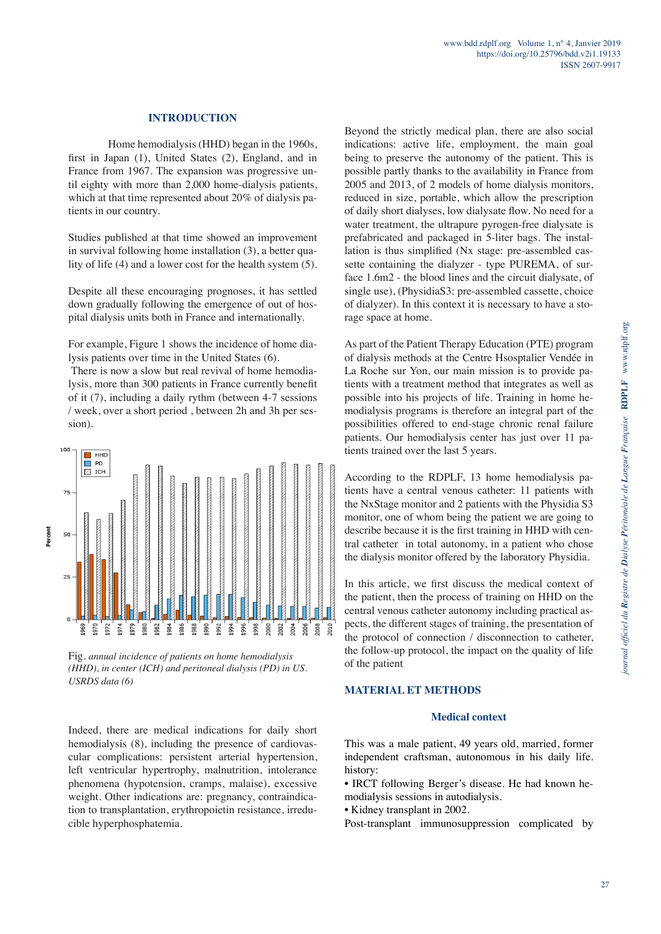### **INTRODUCTION**

Home hemodialysis (HHD) began in the 1960s, first in Japan (1), United States (2), England, and in France from 1967. The expansion was progressive until eighty with more than 2,000 home-dialysis patients, which at that time represented about 20% of dialysis patients in our country.

Studies published at that time showed an improvement in survival following home installation (3), a better quality of life (4) and a lower cost for the health system (5).

Despite all these encouraging prognoses, it has settled down gradually following the emergence of out of hospital dialysis units both in France and internationally.

For example, Figure 1 shows the incidence of home dialysis patients over time in the United States (6).

 There is now a slow but real revival of home hemodialysis, more than 300 patients in France currently benefit of it (7), including a daily rythm (between 4-7 sessions / week, over a short period , between 2h and 3h per session).



Fig. *annual incidence of patients on home hemodialysis (HHD), in center (ICH) and peritoneal dialysis (PD) in US. USRDS data (6)*

Indeed, there are medical indications for daily short hemodialysis (8), including the presence of cardiovascular complications: persistent arterial hypertension, left ventricular hypertrophy, malnutrition, intolerance phenomena (hypotension, cramps, malaise), excessive weight. Other indications are: pregnancy, contraindication to transplantation, erythropoietin resistance, irreducible hyperphosphatemia.

Beyond the strictly medical plan, there are also social indications: active life, employment, the main goal being to preserve the autonomy of the patient. This is possible partly thanks to the availability in France from 2005 and 2013, of 2 models of home dialysis monitors, reduced in size, portable, which allow the prescription of daily short dialyses, low dialysate flow. No need for a water treatment, the ultrapure pyrogen-free dialysate is prefabricated and packaged in 5-liter bags. The installation is thus simplified (Nx stage: pre-assembled cassette containing the dialyzer - type PUREMA, of surface 1.6m2 - the blood lines and the circuit dialysate, of single use), (PhysidiaS3: pre-assembled cassette, choice of dialyzer). In this context it is necessary to have a storage space at home.

As part of the Patient Therapy Education (PTE) program of dialysis methods at the Centre Hsosptalier Vendée in La Roche sur Yon, our main mission is to provide patients with a treatment method that integrates as well as possible into his projects of life. Training in home hemodialysis programs is therefore an integral part of the possibilities offered to end-stage chronic renal failure patients. Our hemodialysis center has just over 11 patients trained over the last 5 years.

According to the RDPLF, 13 home hemodialysis patients have a central venous catheter: 11 patients with the NxStage monitor and 2 patients with the Physidia S3 monitor, one of whom being the patient we are going to describe because it is the first training in HHD with central catheter in total autonomy, in a patient who chose the dialysis monitor offered by the laboratory Physidia.

In this article, we first discuss the medical context of the patient, then the process of training on HHD on the central venous catheter autonomy including practical aspects, the different stages of training, the presentation of the protocol of connection / disconnection to catheter, the follow-up protocol, the impact on the quality of life of the patient

### **MATERIAL ET METHODS**

#### **Medical context**

This was a male patient, 49 years old, married, former independent craftsman, autonomous in his daily life. history:

• IRCT following Berger's disease. He had known hemodialysis sessions in autodialysis.

• Kidney transplant in 2002.

Post-transplant immunosuppression complicated by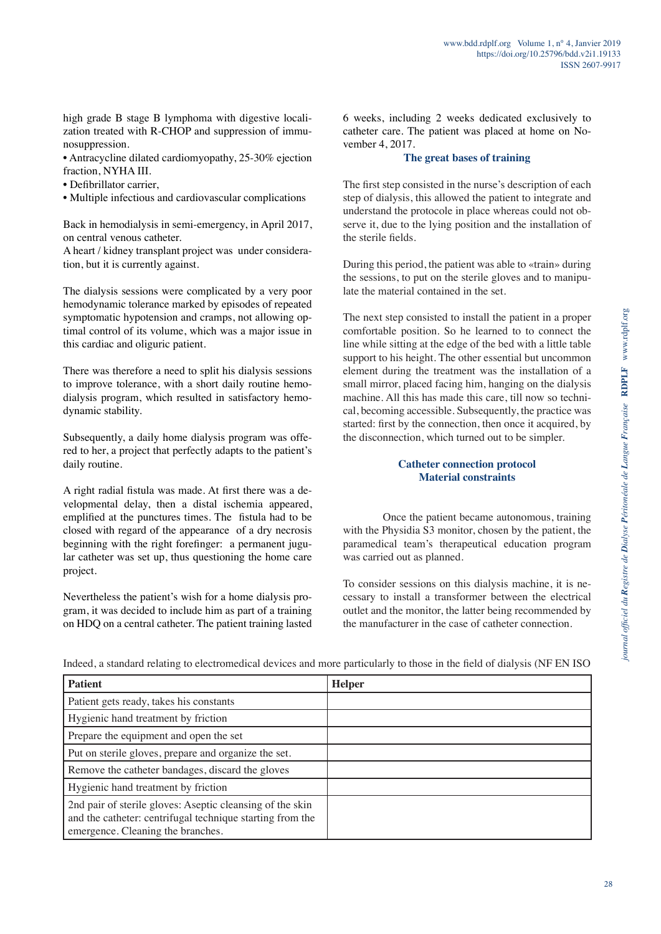high grade B stage B lymphoma with digestive localization treated with R-CHOP and suppression of immunosuppression.

• Antracycline dilated cardiomyopathy, 25-30% ejection fraction, NYHA III.

- Defibrillator carrier,
- Multiple infectious and cardiovascular complications

Back in hemodialysis in semi-emergency, in April 2017, on central venous catheter.

A heart / kidney transplant project was under consideration, but it is currently against.

The dialysis sessions were complicated by a very poor hemodynamic tolerance marked by episodes of repeated symptomatic hypotension and cramps, not allowing optimal control of its volume, which was a major issue in this cardiac and oliguric patient.

There was therefore a need to split his dialysis sessions to improve tolerance, with a short daily routine hemodialysis program, which resulted in satisfactory hemodynamic stability.

Subsequently, a daily home dialysis program was offered to her, a project that perfectly adapts to the patient's daily routine.

A right radial fistula was made. At first there was a developmental delay, then a distal ischemia appeared, emplified at the punctures times. The fistula had to be closed with regard of the appearance of a dry necrosis beginning with the right forefinger: a permanent jugular catheter was set up, thus questioning the home care project.

Nevertheless the patient's wish for a home dialysis program, it was decided to include him as part of a training on HDQ on a central catheter. The patient training lasted 6 weeks, including 2 weeks dedicated exclusively to catheter care. The patient was placed at home on November 4, 2017.

## **The great bases of training**

The first step consisted in the nurse's description of each step of dialysis, this allowed the patient to integrate and understand the protocole in place whereas could not observe it, due to the lying position and the installation of the sterile fields.

During this period, the patient was able to «train» during the sessions, to put on the sterile gloves and to manipulate the material contained in the set.

The next step consisted to install the patient in a proper comfortable position. So he learned to to connect the line while sitting at the edge of the bed with a little table support to his height. The other essential but uncommon element during the treatment was the installation of a small mirror, placed facing him, hanging on the dialysis machine. All this has made this care, till now so technical, becoming accessible. Subsequently, the practice was started: first by the connection, then once it acquired, by the disconnection, which turned out to be simpler.

## **Catheter connection protocol Material constraints**

Once the patient became autonomous, training with the Physidia S3 monitor, chosen by the patient, the paramedical team's therapeutical education program was carried out as planned.

To consider sessions on this dialysis machine, it is necessary to install a transformer between the electrical outlet and the monitor, the latter being recommended by the manufacturer in the case of catheter connection.

| <b>Patient</b>                                                                                                                                              | <b>Helper</b> |
|-------------------------------------------------------------------------------------------------------------------------------------------------------------|---------------|
| Patient gets ready, takes his constants                                                                                                                     |               |
| Hygienic hand treatment by friction                                                                                                                         |               |
| Prepare the equipment and open the set                                                                                                                      |               |
| Put on sterile gloves, prepare and organize the set.                                                                                                        |               |
| Remove the catheter bandages, discard the gloves                                                                                                            |               |
| Hygienic hand treatment by friction                                                                                                                         |               |
| 2nd pair of sterile gloves: Aseptic cleansing of the skin<br>and the catheter: centrifugal technique starting from the<br>emergence. Cleaning the branches. |               |

Indeed, a standard relating to electromedical devices and more particularly to those in the field of dialysis (NF EN ISO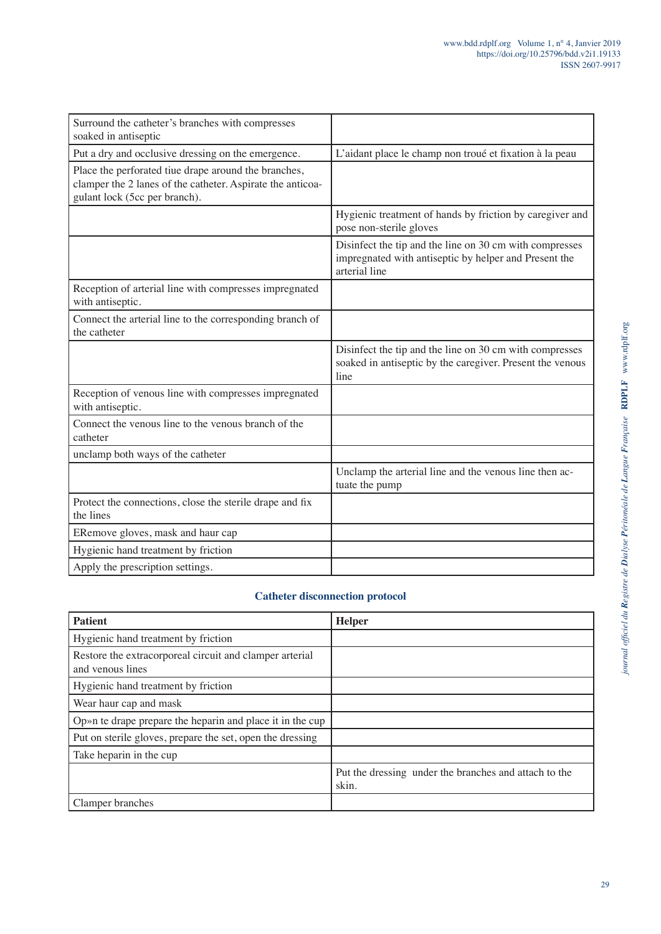| Surround the catheter's branches with compresses<br>soaked in antiseptic                                                                            |                                                                                                                                   |
|-----------------------------------------------------------------------------------------------------------------------------------------------------|-----------------------------------------------------------------------------------------------------------------------------------|
| Put a dry and occlusive dressing on the emergence.                                                                                                  | L'aidant place le champ non troué et fixation à la peau                                                                           |
| Place the perforated tiue drape around the branches,<br>clamper the 2 lanes of the catheter. Aspirate the anticoa-<br>gulant lock (5cc per branch). |                                                                                                                                   |
|                                                                                                                                                     | Hygienic treatment of hands by friction by caregiver and<br>pose non-sterile gloves                                               |
|                                                                                                                                                     | Disinfect the tip and the line on 30 cm with compresses<br>impregnated with antiseptic by helper and Present the<br>arterial line |
| Reception of arterial line with compresses impregnated<br>with antiseptic.                                                                          |                                                                                                                                   |
| Connect the arterial line to the corresponding branch of<br>the catheter                                                                            |                                                                                                                                   |
|                                                                                                                                                     | Disinfect the tip and the line on 30 cm with compresses<br>soaked in antiseptic by the caregiver. Present the venous<br>line      |
| Reception of venous line with compresses impregnated<br>with antiseptic.                                                                            |                                                                                                                                   |
| Connect the venous line to the venous branch of the<br>catheter                                                                                     |                                                                                                                                   |
| unclamp both ways of the catheter                                                                                                                   |                                                                                                                                   |
|                                                                                                                                                     | Unclamp the arterial line and the venous line then ac-<br>tuate the pump                                                          |
| Protect the connections, close the sterile drape and fix<br>the lines                                                                               |                                                                                                                                   |
| ERemove gloves, mask and haur cap                                                                                                                   |                                                                                                                                   |
| Hygienic hand treatment by friction                                                                                                                 |                                                                                                                                   |
| Apply the prescription settings.                                                                                                                    |                                                                                                                                   |
|                                                                                                                                                     |                                                                                                                                   |

## **Catheter disconnection protocol**

| <b>Patient</b>                                                              | <b>Helper</b>                                                  |
|-----------------------------------------------------------------------------|----------------------------------------------------------------|
| Hygienic hand treatment by friction                                         |                                                                |
| Restore the extracorporeal circuit and clamper arterial<br>and venous lines |                                                                |
| Hygienic hand treatment by friction                                         |                                                                |
| Wear haur cap and mask                                                      |                                                                |
| Op»n te drape prepare the heparin and place it in the cup                   |                                                                |
| Put on sterile gloves, prepare the set, open the dressing                   |                                                                |
| Take heparin in the cup                                                     |                                                                |
|                                                                             | Put the dressing under the branches and attach to the<br>skin. |
| Clamper branches                                                            |                                                                |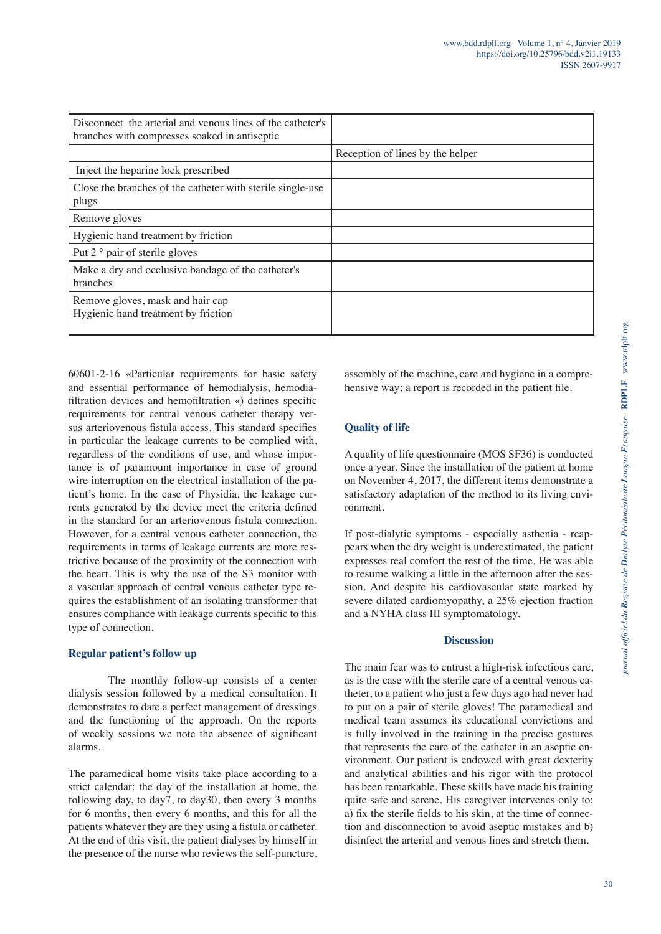| Disconnect the arterial and venous lines of the catheter's<br>branches with compresses soaked in antiseptic |                                  |
|-------------------------------------------------------------------------------------------------------------|----------------------------------|
|                                                                                                             | Reception of lines by the helper |
| Inject the heparine lock prescribed                                                                         |                                  |
| Close the branches of the catheter with sterile single-use<br>plugs                                         |                                  |
| Remove gloves                                                                                               |                                  |
| Hygienic hand treatment by friction                                                                         |                                  |
| Put 2 ° pair of sterile gloves                                                                              |                                  |
| Make a dry and occlusive bandage of the catheter's<br>branches                                              |                                  |
| Remove gloves, mask and hair cap<br>Hygienic hand treatment by friction                                     |                                  |

60601-2-16 «Particular requirements for basic safety and essential performance of hemodialysis, hemodiafiltration devices and hemofiltration «) defines specific requirements for central venous catheter therapy versus arteriovenous fistula access. This standard specifies in particular the leakage currents to be complied with, regardless of the conditions of use, and whose importance is of paramount importance in case of ground wire interruption on the electrical installation of the patient's home. In the case of Physidia, the leakage currents generated by the device meet the criteria defined in the standard for an arteriovenous fistula connection. However, for a central venous catheter connection, the requirements in terms of leakage currents are more restrictive because of the proximity of the connection with the heart. This is why the use of the S3 monitor with a vascular approach of central venous catheter type requires the establishment of an isolating transformer that ensures compliance with leakage currents specific to this type of connection.

## **Regular patient's follow up**

The monthly follow-up consists of a center dialysis session followed by a medical consultation. It demonstrates to date a perfect management of dressings and the functioning of the approach. On the reports of weekly sessions we note the absence of significant alarms.

The paramedical home visits take place according to a strict calendar: the day of the installation at home, the following day, to day7, to day30, then every 3 months for 6 months, then every 6 months, and this for all the patients whatever they are they using a fistula or catheter. At the end of this visit, the patient dialyses by himself in the presence of the nurse who reviews the self-puncture, assembly of the machine, care and hygiene in a comprehensive way; a report is recorded in the patient file.

## **Quality of life**

A quality of life questionnaire (MOS SF36) is conducted once a year. Since the installation of the patient at home on November 4, 2017, the different items demonstrate a satisfactory adaptation of the method to its living environment.

If post-dialytic symptoms - especially asthenia - reappears when the dry weight is underestimated, the patient expresses real comfort the rest of the time. He was able to resume walking a little in the afternoon after the session. And despite his cardiovascular state marked by severe dilated cardiomyopathy, a 25% ejection fraction and a NYHA class III symptomatology.

## **Discussion**

The main fear was to entrust a high-risk infectious care, as is the case with the sterile care of a central venous catheter, to a patient who just a few days ago had never had to put on a pair of sterile gloves! The paramedical and medical team assumes its educational convictions and is fully involved in the training in the precise gestures that represents the care of the catheter in an aseptic environment. Our patient is endowed with great dexterity and analytical abilities and his rigor with the protocol has been remarkable. These skills have made his training quite safe and serene. His caregiver intervenes only to: a) fix the sterile fields to his skin, at the time of connection and disconnection to avoid aseptic mistakes and b) disinfect the arterial and venous lines and stretch them.